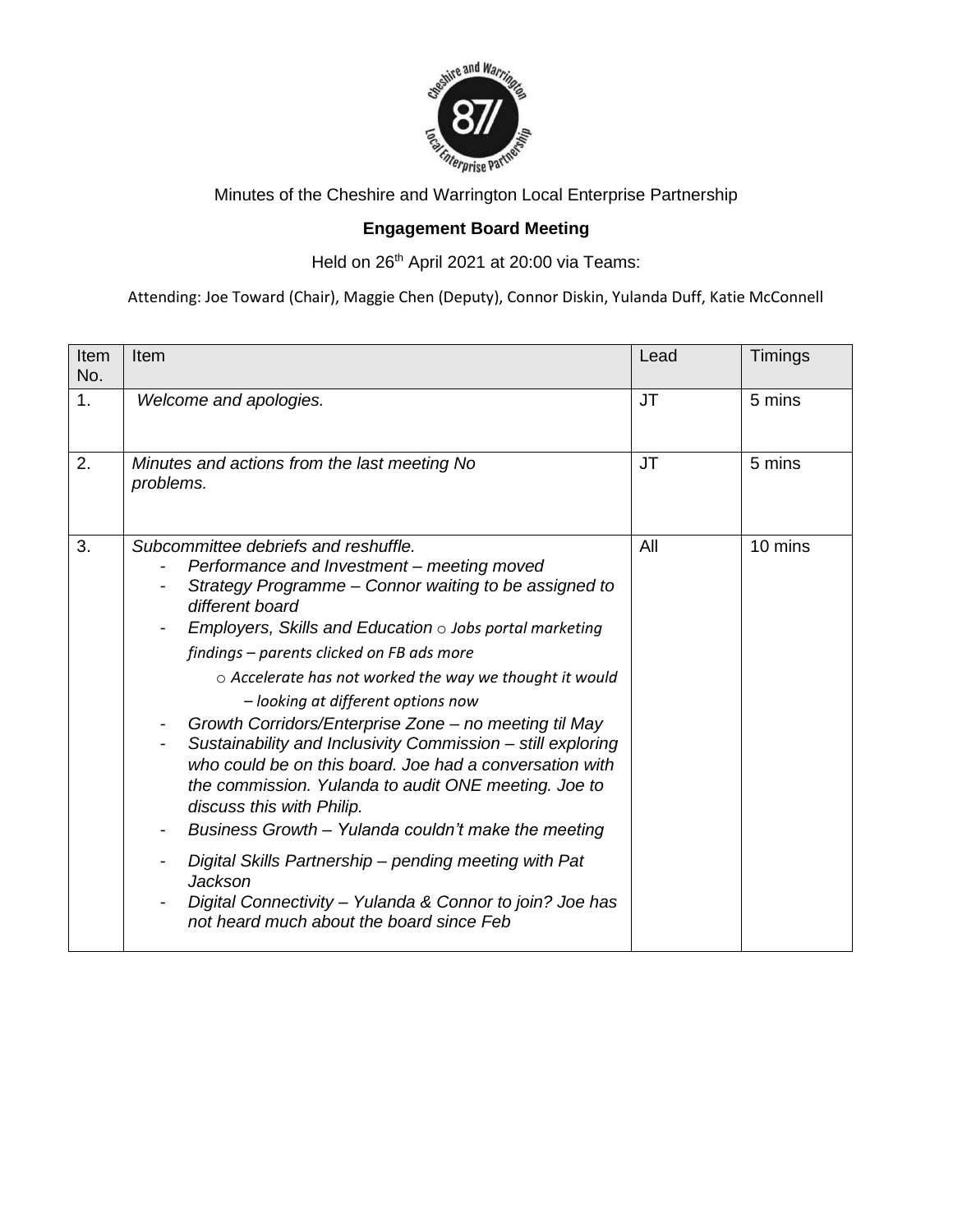

Minutes of the Cheshire and Warrington Local Enterprise Partnership

## **Engagement Board Meeting**

Held on 26<sup>th</sup> April 2021 at 20:00 via Teams:

Attending: Joe Toward (Chair), Maggie Chen (Deputy), Connor Diskin, Yulanda Duff, Katie McConnell

| Item<br>No. | Item                                                                                                                                                                                                                                                                                                                                                                                                                                                                                                                                                                                                                                                                                                                                                                                                                                                                                           | Lead | Timings |
|-------------|------------------------------------------------------------------------------------------------------------------------------------------------------------------------------------------------------------------------------------------------------------------------------------------------------------------------------------------------------------------------------------------------------------------------------------------------------------------------------------------------------------------------------------------------------------------------------------------------------------------------------------------------------------------------------------------------------------------------------------------------------------------------------------------------------------------------------------------------------------------------------------------------|------|---------|
| 1.          | Welcome and apologies.                                                                                                                                                                                                                                                                                                                                                                                                                                                                                                                                                                                                                                                                                                                                                                                                                                                                         | JT   | 5 mins  |
| 2.          | Minutes and actions from the last meeting No<br>problems.                                                                                                                                                                                                                                                                                                                                                                                                                                                                                                                                                                                                                                                                                                                                                                                                                                      | JT   | 5 mins  |
| 3.          | Subcommittee debriefs and reshuffle.<br>Performance and Investment - meeting moved<br>Strategy Programme - Connor waiting to be assigned to<br>different board<br>Employers, Skills and Education $\circ$ Jobs portal marketing<br>findings - parents clicked on FB ads more<br>$\circ$ Accelerate has not worked the way we thought it would<br>- looking at different options now<br>Growth Corridors/Enterprise Zone - no meeting til May<br>Sustainability and Inclusivity Commission - still exploring<br>who could be on this board. Joe had a conversation with<br>the commission. Yulanda to audit ONE meeting. Joe to<br>discuss this with Philip.<br>Business Growth - Yulanda couldn't make the meeting<br>Digital Skills Partnership - pending meeting with Pat<br>Jackson<br>Digital Connectivity - Yulanda & Connor to join? Joe has<br>not heard much about the board since Feb | All  | 10 mins |